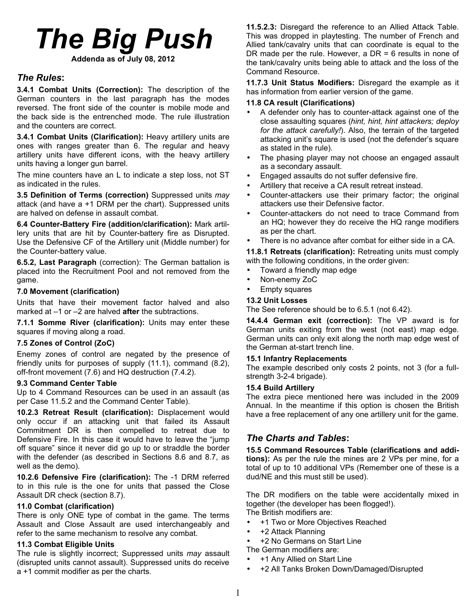# *The Big Push* **Addenda as of July 08, 2012**

# *The Rules***:**

**3.4.1 Combat Units (Correction):** The description of the German counters in the last paragraph has the modes reversed. The front side of the counter is mobile mode and the back side is the entrenched mode. The rule illustration and the counters are correct.

**3.4.1 Combat Units (Clarification):** Heavy artillery units are ones with ranges greater than 6. The regular and heavy artillery units have different icons, with the heavy artillery units having a longer gun barrel.

The mine counters have an L to indicate a step loss, not ST as indicated in the rules.

**3.5 Definition of Terms (correction)** Suppressed units *may* attack (and have a +1 DRM per the chart). Suppressed units are halved on defense in assault combat.

**6.4 Counter-Battery Fire (addition/clarification):** Mark artillery units that are hit by Counter-battery fire as Disrupted. Use the Defensive CF of the Artillery unit (Middle number) for the Counter-battery value.

**6.5.2, Last Paragraph** (correction): The German battalion is placed into the Recruitment Pool and not removed from the game.

## **7.0 Movement (clarification)**

Units that have their movement factor halved and also marked at –1 or –2 are halved **after** the subtractions.

**7.1.1 Somme River (clarification):** Units may enter these squares if moving along a road.

## **7.5 Zones of Control (ZoC)**

Enemy zones of control are negated by the presence of friendly units for purposes of supply (11.1), command (8.2), off-front movement (7.6) and HQ destruction (7.4.2).

## **9.3 Command Center Table**

Up to 4 Command Resources can be used in an assault (as per Case 11.5.2 and the Command Center Table).

**10.2.3 Retreat Result (clarification):** Displacement would only occur if an attacking unit that failed its Assault Commitment DR is then compelled to retreat due to Defensive Fire. In this case it would have to leave the "jump off square" since it never did go up to or straddle the border with the defender (as described in Sections 8.6 and 8.7, as well as the demo).

**10.2.6 Defensive Fire (clarification):** The -1 DRM referred to in this rule is the one for units that passed the Close Assault DR check (section 8.7).

## **11.0 Combat (clarification)**

There is only ONE type of combat in the game. The terms Assault and Close Assault are used interchangeably and refer to the same mechanism to resolve any combat.

## **11.3 Combat Eligible Units**

The rule is slightly incorrect; Suppressed units *may* assault (disrupted units cannot assault). Suppressed units do receive a +1 commit modifier as per the charts.

**11.5.2.3:** Disregard the reference to an Allied Attack Table. This was dropped in playtesting. The number of French and Allied tank/cavalry units that can coordinate is equal to the DR made per the rule. However, a DR = 6 results in none of the tank/cavalry units being able to attack and the loss of the Command Resource.

**11.7.3 Unit Status Modifiers:** Disregard the example as it has information from earlier version of the game.

# **11.8 CA result (Clarifications)**

- A defender only has to counter-attack against one of the close assaulting squares (*hint, hint, hint attackers; deploy for the attack carefully!*). Also, the terrain of the targeted attacking unit's square is used (not the defender's square as stated in the rule).
- The phasing player may not choose an engaged assault as a secondary assault.
- Engaged assaults do not suffer defensive fire.
- Artillery that receive a CA result retreat instead.
- Counter-attackers use their primary factor; the original attackers use their Defensive factor.
- Counter-attackers do not need to trace Command from an HQ; however they do receive the HQ range modifiers as per the chart.

There is no advance after combat for either side in a CA.

**11.8.1 Retreats (clarification):** Retreating units must comply with the following conditions, in the order given:

- Toward a friendly map edge
- Non-enemy ZoC
- Empty squares

## **13.2 Unit Losses**

The See reference should be to 6.5.1 (not 6.42).

**14.4.4 German exit (correction):** The VP award is for German units exiting from the west (not east) map edge. German units can only exit along the north map edge west of the German at-start trench line.

## **15.1 Infantry Replacements**

The example described only costs 2 points, not 3 (for a fullstrength 3-2-4 brigade).

## **15.4 Build Artillery**

The extra piece mentioned here was included in the 2009 Annual. In the meantime if this option is chosen the British have a free replacement of any one artillery unit for the game.

# *The Charts and Tables***:**

**15.5 Command Resources Table (clarifications and additions):** As per the rule the mines are 2 VPs per mine, for a total of up to 10 additional VPs (Remember one of these is a dud/NE and this must still be used).

The DR modifiers on the table were accidentally mixed in together (the developer has been flogged!).

- The British modifiers are:
- +1 Two or More Objectives Reached
- +2 Attack Planning
- +2 No Germans on Start Line
- The German modifiers are:
- +1 Any Allied on Start Line
- +2 All Tanks Broken Down/Damaged/Disrupted